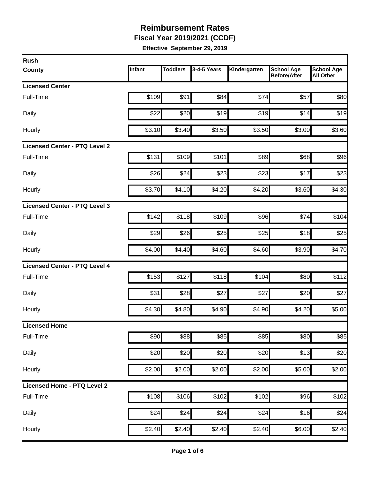**Fiscal Year 2019/2021 (CCDF)**

| Rush                                 |        |                 |             |              |                                          |                                       |
|--------------------------------------|--------|-----------------|-------------|--------------|------------------------------------------|---------------------------------------|
| <b>County</b>                        | Infant | <b>Toddlers</b> | 3-4-5 Years | Kindergarten | <b>School Age</b><br><b>Before/After</b> | <b>School Age</b><br><b>All Other</b> |
| <b>Licensed Center</b>               |        |                 |             |              |                                          |                                       |
| Full-Time                            | \$109  | \$91            | \$84        | \$74         | \$57                                     | \$80                                  |
| Daily                                | \$22   | \$20            | \$19        | \$19         | \$14                                     | \$19                                  |
| Hourly                               | \$3.10 | \$3.40          | \$3.50      | \$3.50       | \$3.00                                   | \$3.60                                |
| <b>Licensed Center - PTQ Level 2</b> |        |                 |             |              |                                          |                                       |
| Full-Time                            | \$131  | \$109           | \$101       | \$89         | \$68                                     | \$96                                  |
| Daily                                | \$26   | \$24            | \$23        | \$23         | \$17                                     | \$23                                  |
| <b>Hourly</b>                        | \$3.70 | \$4.10          | \$4.20      | \$4.20       | \$3.60                                   | \$4.30                                |
| Licensed Center - PTQ Level 3        |        |                 |             |              |                                          |                                       |
| Full-Time                            | \$142  | \$118           | \$109       | \$96         | \$74                                     | \$104                                 |
| Daily                                | \$29   | \$26            | \$25        | \$25         | \$18                                     | \$25                                  |
| Hourly                               | \$4.00 | \$4.40          | \$4.60      | \$4.60       | \$3.90                                   | \$4.70                                |
| <b>Licensed Center - PTQ Level 4</b> |        |                 |             |              |                                          |                                       |
| Full-Time                            | \$153  | \$127           | \$118       | \$104        | \$80                                     | \$112                                 |
| Daily                                | \$31   | \$28            | \$27        | \$27         | \$20                                     | \$27                                  |
| Hourly                               | \$4.30 | \$4.80          | \$4.90      | \$4.90       | \$4.20                                   | \$5.00                                |
| Licensed Home                        |        |                 |             |              |                                          |                                       |
| Full-Time                            | \$90   | \$88            | \$85        | \$85         | \$80                                     | \$85                                  |
| Daily                                | \$20   | \$20            | \$20        | \$20         | \$13                                     | \$20                                  |
| Hourly                               | \$2.00 | \$2.00          | \$2.00      | \$2.00       | \$5.00                                   | \$2.00                                |
| Licensed Home - PTQ Level 2          |        |                 |             |              |                                          |                                       |
| Full-Time                            | \$108  | \$106           | \$102       | \$102        | \$96                                     | \$102                                 |
| Daily                                | \$24   | \$24            | \$24        | \$24         | \$16                                     | \$24                                  |
| Hourly                               | \$2.40 | \$2.40          | \$2.40      | \$2.40       | \$6.00                                   | \$2.40                                |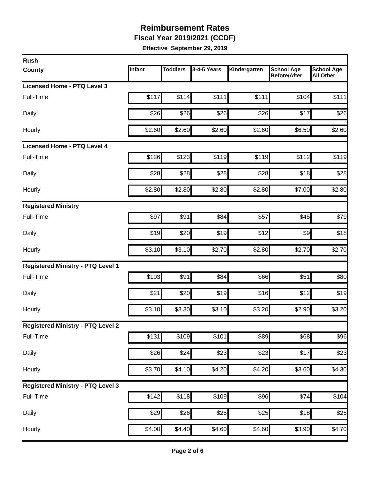**Fiscal Year 2019/2021 (CCDF)**

| Infant | <b>Toddlers</b> | 3-4-5 Years    | Kindergarten                                                                                                                        | <b>School Age</b><br><b>Before/After</b> | <b>School Age</b><br><b>All Other</b>                                                                                                                         |
|--------|-----------------|----------------|-------------------------------------------------------------------------------------------------------------------------------------|------------------------------------------|---------------------------------------------------------------------------------------------------------------------------------------------------------------|
|        |                 |                |                                                                                                                                     |                                          |                                                                                                                                                               |
| \$117  | \$114           | \$111          | \$111                                                                                                                               | \$104                                    | \$111                                                                                                                                                         |
| \$26   |                 | \$26           |                                                                                                                                     | \$17                                     | \$26                                                                                                                                                          |
| \$2.60 |                 | \$2.60         |                                                                                                                                     | \$6.50                                   | \$2.60                                                                                                                                                        |
|        |                 |                |                                                                                                                                     |                                          |                                                                                                                                                               |
| \$126  |                 | \$119          |                                                                                                                                     | \$112                                    | \$119                                                                                                                                                         |
| \$28   |                 | \$28           |                                                                                                                                     | \$18                                     | \$28                                                                                                                                                          |
| \$2.80 |                 | \$2.80         |                                                                                                                                     | \$7.00                                   | \$2.80                                                                                                                                                        |
|        |                 |                |                                                                                                                                     |                                          |                                                                                                                                                               |
| \$97   | \$91            | \$84           |                                                                                                                                     | \$45                                     | \$79                                                                                                                                                          |
| \$19   |                 | \$19           |                                                                                                                                     | $\frac{1}{2}$                            | \$18                                                                                                                                                          |
| \$3.10 |                 | \$2.70         |                                                                                                                                     | \$2.70                                   | \$2.70                                                                                                                                                        |
|        |                 |                |                                                                                                                                     |                                          |                                                                                                                                                               |
| \$103  | \$91            | \$84           |                                                                                                                                     | \$51                                     | \$80                                                                                                                                                          |
| \$21   |                 | \$19           |                                                                                                                                     | \$12                                     | \$19                                                                                                                                                          |
| \$3.10 |                 | \$3.10         |                                                                                                                                     | \$2.90                                   | \$3.20                                                                                                                                                        |
|        |                 |                |                                                                                                                                     |                                          |                                                                                                                                                               |
| \$131  |                 | \$101          |                                                                                                                                     | \$68                                     | \$96                                                                                                                                                          |
|        |                 |                |                                                                                                                                     | \$17                                     | \$23                                                                                                                                                          |
| \$3.70 |                 | \$4.20         |                                                                                                                                     | \$3.60                                   | \$4.30                                                                                                                                                        |
|        |                 |                |                                                                                                                                     |                                          |                                                                                                                                                               |
| \$142  |                 | \$109          |                                                                                                                                     | \$74                                     | \$104                                                                                                                                                         |
| \$29   |                 | \$25           |                                                                                                                                     | \$18                                     | \$25                                                                                                                                                          |
|        |                 |                |                                                                                                                                     | \$3.90                                   | \$4.70                                                                                                                                                        |
|        |                 | \$26<br>\$4.00 | \$26<br>\$2.60<br>\$123<br>\$28<br>\$2.80<br>\$20<br>\$3.10<br>\$20<br>\$3.30<br>\$109<br>\$24<br>\$4.10<br>\$118<br>\$26<br>\$4.40 | \$23<br>\$4.60                           | \$26<br>\$2.60<br>\$119<br>\$28<br>\$2.80<br>\$57<br>\$12<br>\$2.80<br>\$66<br>\$16<br>\$3.20<br>\$89<br>\$23<br>\$4.20<br>\$96<br>\$25<br>$\overline{$}4.60$ |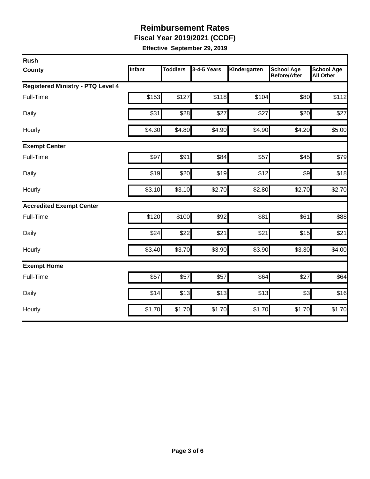**Fiscal Year 2019/2021 (CCDF)**

| Rush                                     |               |                 |             |              |                                          |                                       |
|------------------------------------------|---------------|-----------------|-------------|--------------|------------------------------------------|---------------------------------------|
| <b>County</b>                            | <b>Infant</b> | <b>Toddlers</b> | 3-4-5 Years | Kindergarten | <b>School Age</b><br><b>Before/After</b> | <b>School Age</b><br><b>All Other</b> |
| <b>Registered Ministry - PTQ Level 4</b> |               |                 |             |              |                                          |                                       |
| Full-Time                                | \$153         | \$127           | \$118       | \$104        | \$80                                     | \$112                                 |
| Daily                                    | \$31          | \$28            | \$27        | \$27         | \$20                                     | \$27                                  |
| Hourly                                   | \$4.30        | \$4.80          | \$4.90      | \$4.90       | \$4.20                                   | \$5.00                                |
| <b>Exempt Center</b>                     |               |                 |             |              |                                          |                                       |
| Full-Time                                | \$97          | \$91            | \$84        | \$57         | \$45                                     | \$79                                  |
| Daily                                    | \$19          | \$20            | \$19        | \$12         | \$9                                      | \$18                                  |
| Hourly                                   | \$3.10        | \$3.10          | \$2.70      | \$2.80       | \$2.70                                   | \$2.70                                |
| <b>Accredited Exempt Center</b>          |               |                 |             |              |                                          |                                       |
| Full-Time                                | \$120         | \$100           | \$92        | \$81         | \$61                                     | \$88                                  |
| Daily                                    | \$24          | \$22            | \$21        | \$21         | \$15                                     | \$21                                  |
| Hourly                                   | \$3.40        | \$3.70          | \$3.90      | \$3.90       | \$3.30                                   | \$4.00                                |
| <b>Exempt Home</b>                       |               |                 |             |              |                                          |                                       |
| Full-Time                                | \$57          | \$57            | \$57        | \$64         | \$27                                     | \$64                                  |
| Daily                                    | \$14          | \$13            | \$13        | \$13         | \$3                                      | \$16                                  |
| Hourly                                   | \$1.70        | \$1.70          | \$1.70      | \$1.70       | \$1.70                                   | \$1.70                                |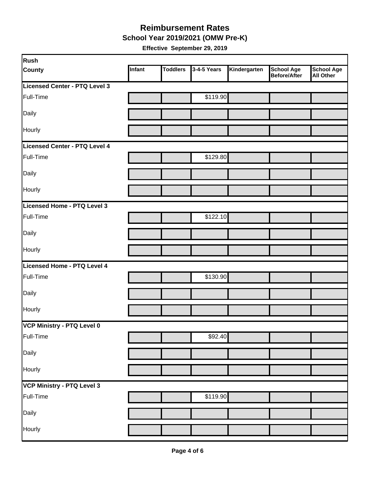**School Year 2019/2021 (OMW Pre-K)**

| Rush                          |        |                 |             |              |                                   |                         |
|-------------------------------|--------|-----------------|-------------|--------------|-----------------------------------|-------------------------|
| <b>County</b>                 | Infant | <b>Toddlers</b> | 3-4-5 Years | Kindergarten | <b>School Age</b><br>Before/After | School Age<br>All Other |
| Licensed Center - PTQ Level 3 |        |                 |             |              |                                   |                         |
| Full-Time                     |        |                 | \$119.90    |              |                                   |                         |
| Daily                         |        |                 |             |              |                                   |                         |
| Hourly                        |        |                 |             |              |                                   |                         |
| Licensed Center - PTQ Level 4 |        |                 |             |              |                                   |                         |
| Full-Time                     |        |                 | \$129.80    |              |                                   |                         |
| Daily                         |        |                 |             |              |                                   |                         |
| Hourly                        |        |                 |             |              |                                   |                         |
| Licensed Home - PTQ Level 3   |        |                 |             |              |                                   |                         |
| Full-Time                     |        |                 | \$122.10    |              |                                   |                         |
| Daily                         |        |                 |             |              |                                   |                         |
| Hourly                        |        |                 |             |              |                                   |                         |
| Licensed Home - PTQ Level 4   |        |                 |             |              |                                   |                         |
| Full-Time                     |        |                 | \$130.90    |              |                                   |                         |
| Daily                         |        |                 |             |              |                                   |                         |
| Hourly                        |        |                 |             |              |                                   |                         |
| VCP Ministry - PTQ Level 0    |        |                 |             |              |                                   |                         |
| Full-Time                     |        |                 | \$92.40     |              |                                   |                         |
| Daily                         |        |                 |             |              |                                   |                         |
| Hourly                        |        |                 |             |              |                                   |                         |
| VCP Ministry - PTQ Level 3    |        |                 |             |              |                                   |                         |
| Full-Time                     |        |                 | \$119.90    |              |                                   |                         |
| Daily                         |        |                 |             |              |                                   |                         |
| Hourly                        |        |                 |             |              |                                   |                         |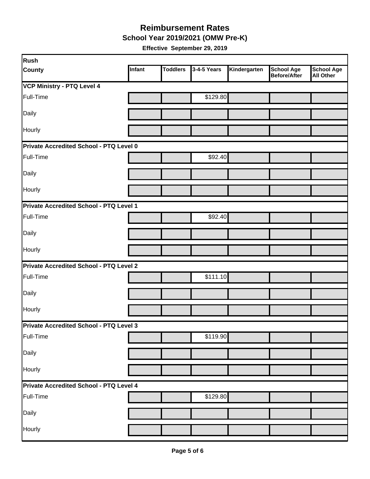**School Year 2019/2021 (OMW Pre-K)**

| Rush                                    |               |                 |             |              |                                   |                                       |
|-----------------------------------------|---------------|-----------------|-------------|--------------|-----------------------------------|---------------------------------------|
| <b>County</b>                           | <b>Infant</b> | <b>Toddlers</b> | 3-4-5 Years | Kindergarten | <b>School Age</b><br>Before/After | <b>School Age</b><br><b>All Other</b> |
| <b>VCP Ministry - PTQ Level 4</b>       |               |                 |             |              |                                   |                                       |
| Full-Time                               |               |                 | \$129.80    |              |                                   |                                       |
| Daily                                   |               |                 |             |              |                                   |                                       |
| Hourly                                  |               |                 |             |              |                                   |                                       |
| Private Accredited School - PTQ Level 0 |               |                 |             |              |                                   |                                       |
| Full-Time                               |               |                 | \$92.40     |              |                                   |                                       |
| Daily                                   |               |                 |             |              |                                   |                                       |
| Hourly                                  |               |                 |             |              |                                   |                                       |
| Private Accredited School - PTQ Level 1 |               |                 |             |              |                                   |                                       |
| Full-Time                               |               |                 | \$92.40     |              |                                   |                                       |
| Daily                                   |               |                 |             |              |                                   |                                       |
| Hourly                                  |               |                 |             |              |                                   |                                       |
| Private Accredited School - PTQ Level 2 |               |                 |             |              |                                   |                                       |
| Full-Time                               |               |                 | \$111.10    |              |                                   |                                       |
| Daily                                   |               |                 |             |              |                                   |                                       |
| Hourly                                  |               |                 |             |              |                                   |                                       |
| Private Accredited School - PTQ Level 3 |               |                 |             |              |                                   |                                       |
| Full-Time                               |               |                 | \$119.90    |              |                                   |                                       |
| Daily                                   |               |                 |             |              |                                   |                                       |
| Hourly                                  |               |                 |             |              |                                   |                                       |
| Private Accredited School - PTQ Level 4 |               |                 |             |              |                                   |                                       |
| Full-Time                               |               |                 | \$129.80    |              |                                   |                                       |
| Daily                                   |               |                 |             |              |                                   |                                       |
| Hourly                                  |               |                 |             |              |                                   |                                       |